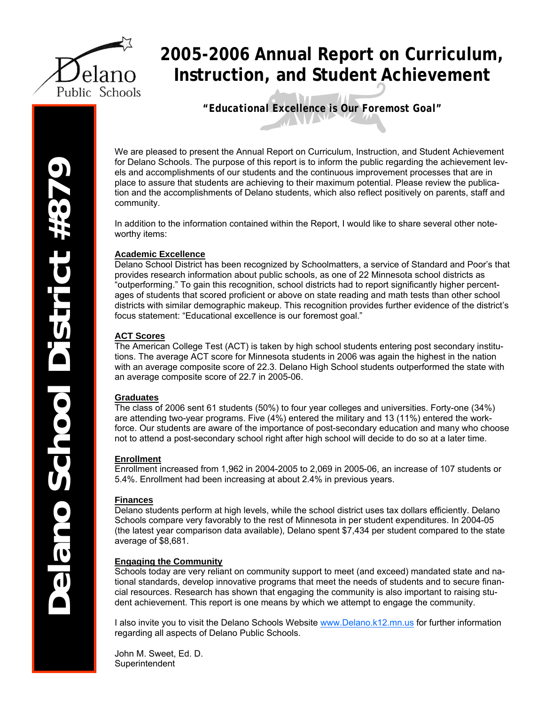

## **2005-2006 Annual Report on Curriculum, Instruction, and Student Achievement**

*"Educational Excellence is Our Foremost Goal"* 

We are pleased to present the Annual Report on Curriculum, Instruction, and Student Achievement for Delano Schools. The purpose of this report is to inform the public regarding the achievement levels and accomplishments of our students and the continuous improvement processes that are in place to assure that students are achieving to their maximum potential. Please review the publication and the accomplishments of Delano students, which also reflect positively on parents, staff and community.

In addition to the information contained within the Report, I would like to share several other noteworthy items:

#### **Academic Excellence**

Delano School District has been recognized by Schoolmatters, a service of Standard and Poor's that provides research information about public schools, as one of 22 Minnesota school districts as "outperforming." To gain this recognition, school districts had to report significantly higher percentages of students that scored proficient or above on state reading and math tests than other school districts with similar demographic makeup. This recognition provides further evidence of the district's focus statement: "Educational excellence is our foremost goal."

#### **ACT Scores**

The American College Test (ACT) is taken by high school students entering post secondary institutions. The average ACT score for Minnesota students in 2006 was again the highest in the nation with an average composite score of 22.3. Delano High School students outperformed the state with an average composite score of 22.7 in 2005-06.

#### **Graduates**

The class of 2006 sent 61 students (50%) to four year colleges and universities. Forty-one (34%) are attending two-year programs. Five (4%) entered the military and 13 (11%) entered the workforce. Our students are aware of the importance of post-secondary education and many who choose not to attend a post-secondary school right after high school will decide to do so at a later time.

#### **Enrollment**

Enrollment increased from 1,962 in 2004-2005 to 2,069 in 2005-06, an increase of 107 students or 5.4%. Enrollment had been increasing at about 2.4% in previous years.

#### **Finances**

Delano students perform at high levels, while the school district uses tax dollars efficiently. Delano Schools compare very favorably to the rest of Minnesota in per student expenditures. In 2004-05 (the latest year comparison data available), Delano spent \$7,434 per student compared to the state average of \$8,681.

#### **Engaging the Community**

Schools today are very reliant on community support to meet (and exceed) mandated state and national standards, develop innovative programs that meet the needs of students and to secure financial resources. Research has shown that engaging the community is also important to raising student achievement. This report is one means by which we attempt to engage the community.

I also invite you to visit the Delano Schools Website www.Delano.k12.mn.us for further information regarding all aspects of Delano Public Schools.

John M. Sweet, Ed. D. Superintendent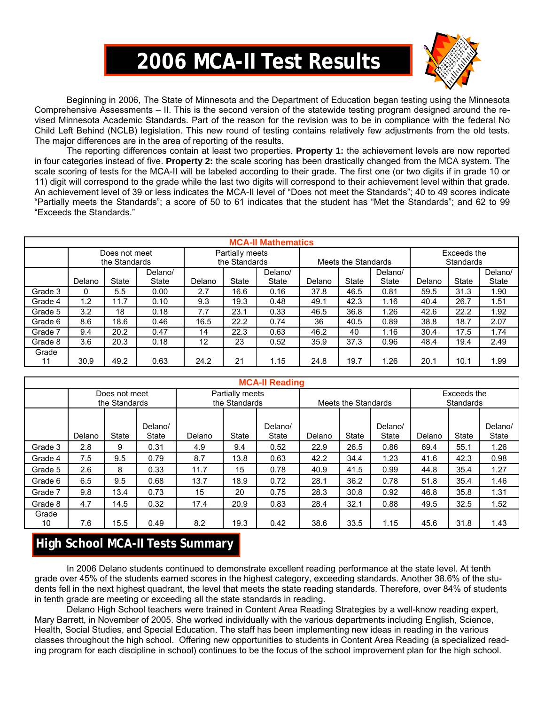# **2006 MCA-II Test Results**



 Beginning in 2006, The State of Minnesota and the Department of Education began testing using the Minnesota Comprehensive Assessments – II. This is the second version of the statewide testing program designed around the revised Minnesota Academic Standards. Part of the reason for the revision was to be in compliance with the federal No Child Left Behind (NCLB) legislation. This new round of testing contains relatively few adjustments from the old tests. The major differences are in the area of reporting of the results.

The reporting differences contain at least two properties. **Property 1:** the achievement levels are now reported in four categories instead of five. **Property 2:** the scale scoring has been drastically changed from the MCA system. The scale scoring of tests for the MCA-II will be labeled according to their grade. The first one (or two digits if in grade 10 or 11) digit will correspond to the grade while the last two digits will correspond to their achievement level within that grade. An achievement level of 39 or less indicates the MCA-II level of "Does not meet the Standards"; 40 to 49 scores indicate "Partially meets the Standards"; a score of 50 to 61 indicates that the student has "Met the Standards"; and 62 to 99 "Exceeds the Standards."

|         | <b>MCA-II Mathematics</b> |               |              |        |                 |              |        |                     |         |                  |       |              |  |  |
|---------|---------------------------|---------------|--------------|--------|-----------------|--------------|--------|---------------------|---------|------------------|-------|--------------|--|--|
|         |                           | Does not meet |              |        | Partially meets |              |        |                     |         | Exceeds the      |       |              |  |  |
|         |                           | the Standards |              |        | the Standards   |              |        | Meets the Standards |         | <b>Standards</b> |       |              |  |  |
|         |                           |               | Delano/      |        |                 | Delano/      |        |                     | Delano/ |                  |       | Delano/      |  |  |
|         | Delano                    | State         | <b>State</b> | Delano | State           | <b>State</b> | Delano | <b>State</b>        | State   | Delano           | State | <b>State</b> |  |  |
| Grade 3 | 0                         | 5.5           | 0.00         | 2.7    | 16.6            | 0.16         | 37.8   | 46.5                | 0.81    | 59.5             | 31.3  | 1.90         |  |  |
| Grade 4 | 1.2                       | 11.7          | 0.10         | 9.3    | 19.3            | 0.48         | 49.1   | 42.3                | 1.16    | 40.4             | 26.7  | 1.51         |  |  |
| Grade 5 | 3.2                       | 18            | 0.18         | 7.7    | 23.1            | 0.33         | 46.5   | 36.8                | .26     | 42.6             | 22.2  | 1.92         |  |  |
| Grade 6 | 8.6                       | 18.6          | 0.46         | 16.5   | 22.2            | 0.74         | 36     | 40.5                | 0.89    | 38.8             | 18.7  | 2.07         |  |  |
| Grade 7 | 9.4                       | 20.2          | 0.47         | 14     | 22.3            | 0.63         | 46.2   | 40                  | 1.16    | 30.4             | 17.5  | 1.74         |  |  |
| Grade 8 | 3.6                       | 20.3          | 0.18         | 12     | 23              | 0.52         | 35.9   | 37.3                | 0.96    | 48.4             | 19.4  | 2.49         |  |  |
| Grade   |                           |               |              |        |                 |              |        |                     |         |                  |       |              |  |  |
| 11      | 30.9                      | 49.2          | 0.63         | 24.2   | 21              | 1.15         | 24.8   | 19.7                | .26     | 20.1             | 10.1  | 1.99         |  |  |

|             | <b>MCA-II Reading</b> |                                |                         |        |                                  |                  |        |                     |                         |                                 |       |                         |  |  |
|-------------|-----------------------|--------------------------------|-------------------------|--------|----------------------------------|------------------|--------|---------------------|-------------------------|---------------------------------|-------|-------------------------|--|--|
|             |                       | Does not meet<br>the Standards |                         |        | Partially meets<br>the Standards |                  |        | Meets the Standards |                         | Exceeds the<br><b>Standards</b> |       |                         |  |  |
|             | Delano                | <b>State</b>                   | Delano/<br><b>State</b> | Delano | State                            | Delano/<br>State | Delano | <b>State</b>        | Delano/<br><b>State</b> | Delano                          | State | Delano/<br><b>State</b> |  |  |
| Grade 3     | 2.8                   | 9                              | 0.31                    | 4.9    | 9.4                              | 0.52             | 22.9   | 26.5                | 0.86                    | 69.4                            | 55.1  | 1.26                    |  |  |
| Grade 4     | 7.5                   | 9.5                            | 0.79                    | 8.7    | 13.8                             | 0.63             | 42.2   | 34.4                | 1.23                    | 41.6                            | 42.3  | 0.98                    |  |  |
| Grade 5     | 2.6                   | 8                              | 0.33                    | 11.7   | 15                               | 0.78             | 40.9   | 41.5                | 0.99                    | 44.8                            | 35.4  | 1.27                    |  |  |
| Grade 6     | 6.5                   | 9.5                            | 0.68                    | 13.7   | 18.9                             | 0.72             | 28.1   | 36.2                | 0.78                    | 51.8                            | 35.4  | 1.46                    |  |  |
| Grade 7     | 9.8                   | 13.4                           | 0.73                    | 15     | 20                               | 0.75             | 28.3   | 30.8                | 0.92                    | 46.8                            | 35.8  | 1.31                    |  |  |
| Grade 8     | 4.7                   | 14.5                           | 0.32                    | 17.4   | 20.9                             | 0.83             | 28.4   | 32.1                | 0.88                    | 49.5                            | 32.5  | 1.52                    |  |  |
| Grade<br>10 | 7.6                   | 15.5                           | 0.49                    | 8.2    | 19.3                             | 0.42             | 38.6   | 33.5                | 1.15                    | 45.6                            | 31.8  | 1.43                    |  |  |

## **High School MCA-II Tests Summary**

In 2006 Delano students continued to demonstrate excellent reading performance at the state level. At tenth grade over 45% of the students earned scores in the highest category, exceeding standards. Another 38.6% of the students fell in the next highest quadrant, the level that meets the state reading standards. Therefore, over 84% of students in tenth grade are meeting or exceeding all the state standards in reading.

 Delano High School teachers were trained in Content Area Reading Strategies by a well-know reading expert, Mary Barrett, in November of 2005. She worked individually with the various departments including English, Science, Health, Social Studies, and Special Education. The staff has been implementing new ideas in reading in the various classes throughout the high school. Offering new opportunities to students in Content Area Reading (a specialized reading program for each discipline in school) continues to be the focus of the school improvement plan for the high school.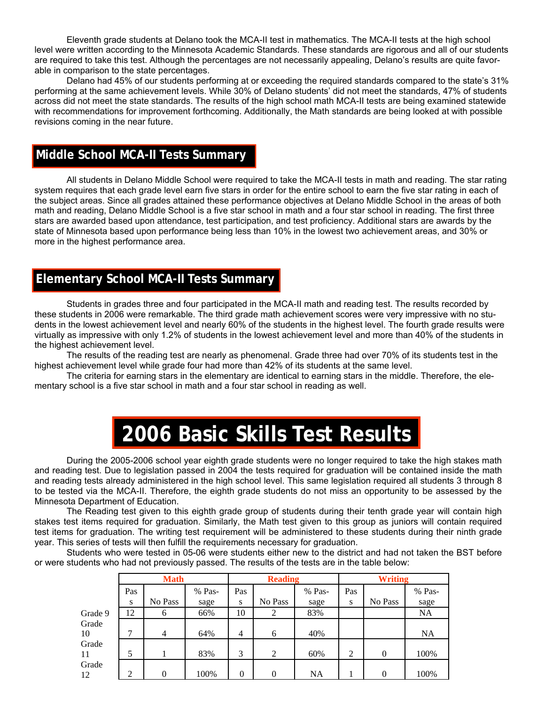Eleventh grade students at Delano took the MCA-II test in mathematics. The MCA-II tests at the high school level were written according to the Minnesota Academic Standards. These standards are rigorous and all of our students are required to take this test. Although the percentages are not necessarily appealing, Delano's results are quite favorable in comparison to the state percentages.

 Delano had 45% of our students performing at or exceeding the required standards compared to the state's 31% performing at the same achievement levels. While 30% of Delano students' did not meet the standards, 47% of students across did not meet the state standards. The results of the high school math MCA-II tests are being examined statewide with recommendations for improvement forthcoming. Additionally, the Math standards are being looked at with possible revisions coming in the near future.

### **Middle School MCA-II Tests Summary**

 All students in Delano Middle School were required to take the MCA-II tests in math and reading. The star rating system requires that each grade level earn five stars in order for the entire school to earn the five star rating in each of the subject areas. Since all grades attained these performance objectives at Delano Middle School in the areas of both math and reading, Delano Middle School is a five star school in math and a four star school in reading. The first three stars are awarded based upon attendance, test participation, and test proficiency. Additional stars are awards by the state of Minnesota based upon performance being less than 10% in the lowest two achievement areas, and 30% or more in the highest performance area.

## **Elementary School MCA-II Tests Summary**

 Students in grades three and four participated in the MCA-II math and reading test. The results recorded by these students in 2006 were remarkable. The third grade math achievement scores were very impressive with no students in the lowest achievement level and nearly 60% of the students in the highest level. The fourth grade results were virtually as impressive with only 1.2% of students in the lowest achievement level and more than 40% of the students in the highest achievement level.

 The results of the reading test are nearly as phenomenal. Grade three had over 70% of its students test in the highest achievement level while grade four had more than 42% of its students at the same level.

 The criteria for earning stars in the elementary are identical to earning stars in the middle. Therefore, the elementary school is a five star school in math and a four star school in reading as well.

# **2006 Basic Skills Test Results**

During the 2005-2006 school year eighth grade students were no longer required to take the high stakes math and reading test. Due to legislation passed in 2004 the tests required for graduation will be contained inside the math and reading tests already administered in the high school level. This same legislation required all students 3 through 8 to be tested via the MCA-II. Therefore, the eighth grade students do not miss an opportunity to be assessed by the Minnesota Department of Education.

The Reading test given to this eighth grade group of students during their tenth grade year will contain high stakes test items required for graduation. Similarly, the Math test given to this group as juniors will contain required test items for graduation. The writing test requirement will be administered to these students during their ninth grade year. This series of tests will then fulfill the requirements necessary for graduation.

Students who were tested in 05-06 were students either new to the district and had not taken the BST before or were students who had not previously passed. The results of the tests are in the table below:

|         |     | <b>Math</b>    |        |                | <b>Reading</b> |           | <b>Writing</b> |          |           |  |
|---------|-----|----------------|--------|----------------|----------------|-----------|----------------|----------|-----------|--|
|         | Pas |                | % Pas- | Pas            |                | % Pas-    | Pas            |          | % Pas-    |  |
|         | S   | No Pass        | sage   | S              | No Pass        | sage      | S              | No Pass  | sage      |  |
| Grade 9 | 12  | 6              | 66%    | 10             | 2              | 83%       |                |          | <b>NA</b> |  |
| Grade   |     |                |        |                |                |           |                |          |           |  |
| 10      |     | $\overline{4}$ | 64%    | $\overline{4}$ | 6              | 40%       |                |          | <b>NA</b> |  |
| Grade   |     |                |        |                |                |           |                |          |           |  |
| 11      | 5   |                | 83%    | 3              | 2              | 60%       | 2              | $\Omega$ | 100%      |  |
| Grade   |     |                |        |                |                |           |                |          |           |  |
| 12      | 2   | $\theta$       | 100%   | $\overline{0}$ | $\theta$       | <b>NA</b> |                | $\theta$ | 100%      |  |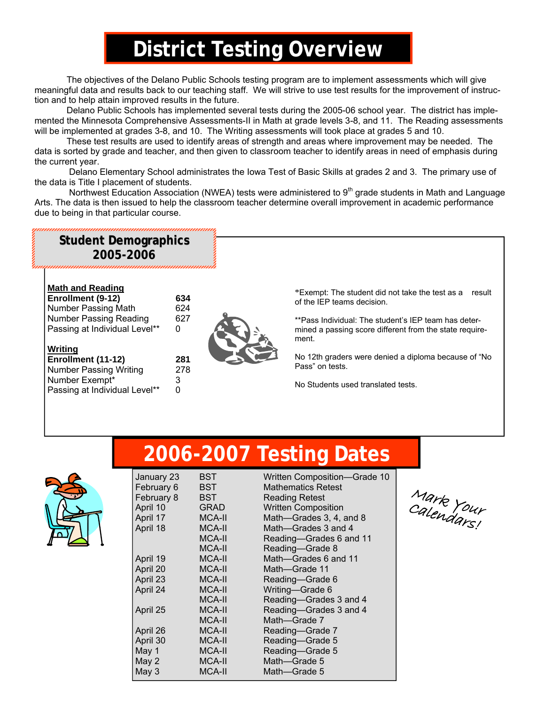# **District Testing Overview**

 The objectives of the Delano Public Schools testing program are to implement assessments which will give meaningful data and results back to our teaching staff. We will strive to use test results for the improvement of instruction and to help attain improved results in the future.

 Delano Public Schools has implemented several tests during the 2005-06 school year. The district has implemented the Minnesota Comprehensive Assessments-II in Math at grade levels 3-8, and 11. The Reading assessments will be implemented at grades 3-8, and 10. The Writing assessments will took place at grades 5 and 10.

 These test results are used to identify areas of strength and areas where improvement may be needed. The data is sorted by grade and teacher, and then given to classroom teacher to identify areas in need of emphasis during the current year.

 Delano Elementary School administrates the Iowa Test of Basic Skills at grades 2 and 3. The primary use of the data is Title I placement of students.

Northwest Education Association (NWEA) tests were administered to 9<sup>th</sup> grade students in Math and Language Arts. The data is then issued to help the classroom teacher determine overall improvement in academic performance due to being in that particular course.

#### \*Exempt: The student did not take the test as a result of the IEP teams decision. Number Passing Reading 627 . The student's IEP team has determined a passing score different from the state requirement. **Math and Reading Enrollment (9-12) 634**  Number Passing Math 624<br>Number Passing Reading 627 Passing at Individual Level\*\* 0 **Student Demographics Student Demographics 2005-2006**

No 12th graders were denied a diploma because of "No Pass" on tests.

No Students used translated tests.

Grade 10

# **2006-2007 Testing Dates**



**Writing**

**Enrollment (11-12) 281**  Number Passing Writing 278 Number Exempt\* 3 Passing at Individual Level\*\* 0

Mark Calendars!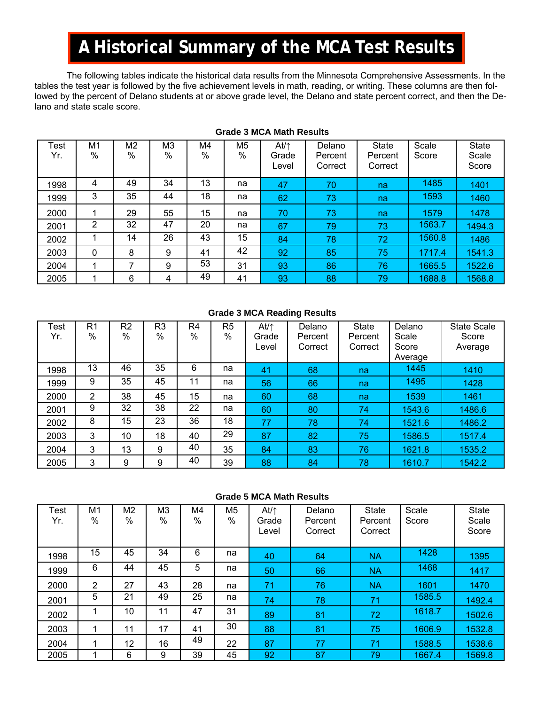## **A Historical Summary of the MCA Test Results**

 The following tables indicate the historical data results from the Minnesota Comprehensive Assessments. In the tables the test year is followed by the five achievement levels in math, reading, or writing. These columns are then followed by the percent of Delano students at or above grade level, the Delano and state percent correct, and then the Delano and state scale score.

| Test<br>Yr. | M1<br>% | M <sub>2</sub><br>% | M <sub>3</sub><br>$\frac{0}{0}$ | M4<br>% | M5<br>$\%$ | $At/\uparrow$<br>Grade<br>Level | Delano<br>Percent<br>Correct | <b>State</b><br>Percent<br>Correct | Scale<br>Score | <b>State</b><br>Scale<br>Score |
|-------------|---------|---------------------|---------------------------------|---------|------------|---------------------------------|------------------------------|------------------------------------|----------------|--------------------------------|
| 1998        | 4       | 49                  | 34                              | 13      | na         | 47                              | 70                           | na                                 | 1485           | 1401                           |
| 1999        | 3       | 35                  | 44                              | 18      | na         | 62                              | 73                           | na                                 | 1593           | 1460                           |
| 2000        |         | 29                  | 55                              | 15      | na         | 70                              | 73                           | na                                 | 1579           | 1478                           |
| 2001        | 2       | 32                  | 47                              | 20      | na         | 67                              | 79                           | 73                                 | 1563.7         | 1494.3                         |
| 2002        |         | 14                  | 26                              | 43      | 15         | 84                              | 78                           | 72                                 | 1560.8         | 1486                           |
| 2003        | 0       | 8                   | 9                               | 41      | 42         | 92                              | 85                           | 75                                 | 1717.4         | 1541.3                         |
| 2004        | ◀       | 7                   | 9                               | 53      | 31         | 93                              | 86                           | 76                                 | 1665.5         | 1522.6                         |
| 2005        |         | 6                   | 4                               | 49      | 41         | 93                              | 88                           | 79                                 | 1688.8         | 1568.8                         |

#### **Grade 3 MCA Math Results**

#### **Grade 3 MCA Reading Results**

| <b>Test</b><br>Yr. | R <sub>1</sub><br>$\%$ | R <sub>2</sub><br>% | R <sub>3</sub><br>% | R4<br>$\%$ | R5<br>$\%$ | $At/\uparrow$<br>Grade<br>Level | Delano<br>Percent<br>Correct | <b>State</b><br>Percent<br>Correct | Delano<br>Scale<br>Score<br>Average | <b>State Scale</b><br>Score<br>Average |
|--------------------|------------------------|---------------------|---------------------|------------|------------|---------------------------------|------------------------------|------------------------------------|-------------------------------------|----------------------------------------|
| 1998               | 13                     | 46                  | 35                  | 6          | na         | 41                              | 68                           | na                                 | 1445                                | 1410                                   |
| 1999               | 9                      | 35                  | 45                  | 11         | na         | 56                              | 66                           | na                                 | 1495                                | 1428                                   |
| 2000               | 2                      | 38                  | 45                  | 15         | na         | 60                              | 68                           | na                                 | 1539                                | 1461                                   |
| 2001               | 9                      | 32                  | 38                  | 22         | na         | 60                              | 80                           | $\overline{74}$                    | 1543.6                              | 1486.6                                 |
| 2002               | 8                      | 15                  | 23                  | 36         | 18         | 77                              | 78                           | 74                                 | 1521.6                              | 1486.2                                 |
| 2003               | 3                      | 10                  | 18                  | 40         | 29         | 87                              | 82                           | 75                                 | 1586.5                              | 1517.4                                 |
| 2004               | 3                      | 13                  | 9                   | 40         | 35         | 84                              | 83                           | 76                                 | 1621.8                              | 1535.2                                 |
| 2005               | 3                      | 9                   | 9                   | 40         | 39         | 88                              | 84                           | 78                                 | 1610.7                              | 1542.2                                 |

#### **Grade 5 MCA Math Results**

| Test<br>Yr. | M1<br>%        | M2<br>% | M <sub>3</sub><br>% | M4<br>$\%$ | M5<br>% | $At/\uparrow$<br>Grade<br>Level | Delano<br>Percent<br>Correct | <b>State</b><br>Percent<br>Correct | Scale<br>Score | <b>State</b><br>Scale<br>Score |
|-------------|----------------|---------|---------------------|------------|---------|---------------------------------|------------------------------|------------------------------------|----------------|--------------------------------|
| 1998        | 15             | 45      | 34                  | 6          | na      | 40                              | 64                           | <b>NA</b>                          | 1428           | 1395                           |
| 1999        | 6              | 44      | 45                  | 5          | na      | 50                              | 66                           | <b>NA</b>                          | 1468           | 1417                           |
| 2000        | $\overline{2}$ | 27      | 43                  | 28         | na      | 71                              | 76                           | <b>NA</b>                          | 1601           | 1470                           |
| 2001        | 5              | 21      | 49                  | 25         | na      | 74                              | 78                           | 71                                 | 1585.5         | 1492.4                         |
| 2002        |                | 10      | 11                  | 47         | 31      | 89                              | 81                           | 72                                 | 1618.7         | 1502.6                         |
| 2003        |                | 11      | 17                  | 41         | 30      | 88                              | 81                           | 75                                 | 1606.9         | 1532.8                         |
| 2004        | 1              | 12      | 16                  | 49         | 22      | 87                              | 77                           | 71                                 | 1588.5         | 1538.6                         |
| 2005        |                | 6       | 9                   | 39         | 45      | 92                              | 87                           | 79                                 | 1667.4         | 1569.8                         |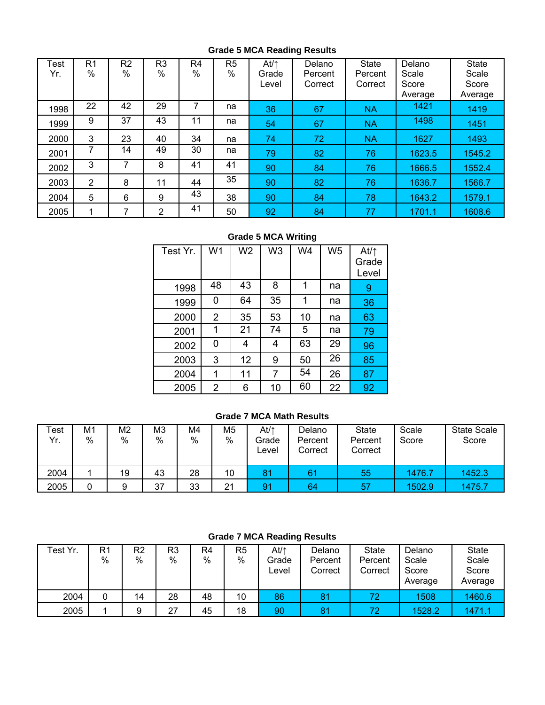#### **Grade 5 MCA Reading Results**

| <b>Test</b><br>Yr. | R1<br>$\%$ | R2<br>$\%$ | R <sub>3</sub><br>$\%$ | R4<br>% | R5<br>% | $At/\uparrow$<br>Grade<br>Level | Delano<br>Percent<br>Correct | <b>State</b><br>Percent<br>Correct | Delano<br>Scale<br>Score<br>Average | <b>State</b><br>Scale<br>Score<br>Average |
|--------------------|------------|------------|------------------------|---------|---------|---------------------------------|------------------------------|------------------------------------|-------------------------------------|-------------------------------------------|
| 1998               | 22         | 42         | 29                     | 7       | na      | 36                              | 67                           | <b>NA</b>                          | 1421                                | 1419                                      |
| 1999               | 9          | 37         | 43                     | 11      | na      | 54                              | 67                           | <b>NA</b>                          | 1498                                | 1451                                      |
| 2000               | 3          | 23         | 40                     | 34      | na      | 74                              | 72                           | <b>NA</b>                          | 1627                                | 1493                                      |
| 2001               |            | 14         | 49                     | 30      | na      | 79                              | 82                           | 76                                 | 1623.5                              | 1545.2                                    |
| 2002               | 3          | 7          | 8                      | 41      | 41      | 90                              | 84                           | 76                                 | 1666.5                              | 1552.4                                    |
| 2003               | 2          | 8          | 11                     | 44      | 35      | 90                              | 82                           | 76                                 | 1636.7                              | 1566.7                                    |
| 2004               | 5          | 6          | 9                      | 43      | 38      | 90                              | 84                           | 78                                 | 1643.2                              | 1579.1                                    |
| 2005               | -1         | 7          | 2                      | 41      | 50      | 92                              | 84                           | 77                                 | 1701.1                              | 1608.6                                    |

#### **Grade 5 MCA Writing**

| Test Yr. | W <sub>1</sub> | W <sub>2</sub> | W <sub>3</sub> | W4 | W <sub>5</sub> | At/ $\uparrow$<br>Grade<br>Level |
|----------|----------------|----------------|----------------|----|----------------|----------------------------------|
| 1998     | 48             | 43             | 8              | 1  | na             | 9                                |
| 1999     | 0              | 64             | 35             | 1  | na             | 36                               |
| 2000     | 2              | 35             | 53             | 10 | na             | 63                               |
| 2001     | 1              | 21             | 74             | 5  | na             | 79                               |
| 2002     | 0              | 4              | 4              | 63 | 29             | 96                               |
| 2003     | 3              | 12             | 9              | 50 | 26             | 85                               |
| 2004     | 1              | 11             | 7              | 54 | 26             | 87                               |
| 2005     | 2              | 6              | 10             | 60 | 22             | 92                               |

#### **Grade 7 MCA Math Results**

| Test<br>Yr. | M1<br>$\%$ | M2<br>$\%$ | ΜЗ<br>% | M4<br>% | M <sub>5</sub><br>$\%$ | At/↑<br>Grade<br>Level | Delano<br>Percent<br>Correct | <b>State</b><br>Percent<br>Correct | Scale<br>Score | <b>State Scale</b><br>Score |
|-------------|------------|------------|---------|---------|------------------------|------------------------|------------------------------|------------------------------------|----------------|-----------------------------|
| 2004        |            | 19         | 43      | 28      | 10                     | 8                      | 61                           | 55                                 | 1476.7         | 1452.3                      |
| 2005        | 0          | 9          | 37      | 33      | 21                     | 9.                     | 64                           | 57                                 | 1502.9         | 1475.7                      |

#### **Grade 7 MCA Reading Results**

| Test Yr. | R1<br>% | R2<br>$\%$ | R3<br>% | R4<br>% | R <sub>5</sub><br>% | At/↑<br>Grade<br>Level | Delano<br>Percent<br>Correct | <b>State</b><br>Percent<br>Correct | Delano<br>Scale<br>Score<br>Average | <b>State</b><br>Scale<br>Score<br>Average |
|----------|---------|------------|---------|---------|---------------------|------------------------|------------------------------|------------------------------------|-------------------------------------|-------------------------------------------|
| 2004     |         | 14         | 28      | 48      | 10                  | 86                     | 8 <sup>1</sup>               | 72                                 | 1508                                | 1460.6                                    |
| 2005     |         | 9          | 27      | 45      | 18                  | 90                     | 81                           | 72                                 | 1528.2                              | 1471.1                                    |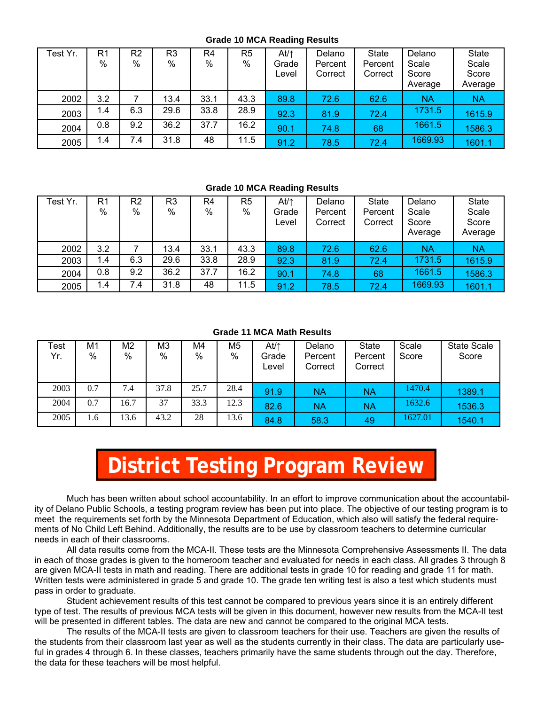#### **Grade 10 MCA Reading Results**

| Test Yr. | R <sub>1</sub><br>% | R <sub>2</sub><br>% | R3<br>$\%$ | R4<br>% | R5<br>$\%$ | At⁄↑<br>Grade<br>Level | Delano<br>Percent<br>Correct | <b>State</b><br>Percent<br>Correct | Delano<br>Scale<br>Score<br>Average | <b>State</b><br>Scale<br>Score<br>Average |
|----------|---------------------|---------------------|------------|---------|------------|------------------------|------------------------------|------------------------------------|-------------------------------------|-------------------------------------------|
| 2002     | 3.2                 |                     | 13.4       | 33.1    | 43.3       | 89.8                   | 72.6                         | 62.6                               | <b>NA</b>                           | <b>NA</b>                                 |
| 2003     | 1.4                 | 6.3                 | 29.6       | 33.8    | 28.9       | 92.3                   | 81.9                         | 72.4                               | 1731.5                              | 1615.9                                    |
| 2004     | 0.8                 | 9.2                 | 36.2       | 37.7    | 16.2       | 90.1                   | 74.8                         | 68                                 | 1661.5                              | 1586.3                                    |
| 2005     | 1.4                 | 7.4                 | 31.8       | 48      | 11.5       | 91.2                   | 78.5                         | 72.4                               | 1669.93                             | 1601.1                                    |

#### **Grade 10 MCA Reading Results**

| Test Yr. | R1<br>% | R <sub>2</sub><br>% | R3<br>% | R4<br>$\%$ | R <sub>5</sub><br>$\%$ | At/↑<br>Grade<br>Level | Delano<br>Percent<br>Correct | <b>State</b><br>Percent<br>Correct | Delano<br>Scale<br>Score<br>Average | <b>State</b><br>Scale<br>Score<br>Average |
|----------|---------|---------------------|---------|------------|------------------------|------------------------|------------------------------|------------------------------------|-------------------------------------|-------------------------------------------|
| 2002     | 3.2     |                     | 13.4    | 33.1       | 43.3                   | 89.8                   | 72.6                         | 62.6                               | NΑ                                  | <b>NA</b>                                 |
| 2003     | 1.4     | 6.3                 | 29.6    | 33.8       | 28.9                   | 92.3                   | 81.9                         | 72.4                               | 1731.5                              | 1615.9                                    |
| 2004     | 0.8     | 9.2                 | 36.2    | 37.7       | 16.2                   | 90.1                   | 74.8                         | 68                                 | 1661.5                              | 1586.3                                    |
| 2005     | 1.4     | 7.4                 | 31.8    | 48         | 11.5                   | 91.2                   | 78.5                         | 72.4                               | 1669.93                             | 1601.1                                    |

#### **Grade 11 MCA Math Results**

| Test<br>Yr. | M1<br>$\%$ | M2<br>% | M3<br>$\%$ | M4<br>$\%$ | M <sub>5</sub><br>% | At/ $\uparrow$<br>Grade<br>Level | Delano<br>Percent<br>Correct | <b>State</b><br>Percent<br>Correct | Scale<br>Score | State Scale<br>Score |
|-------------|------------|---------|------------|------------|---------------------|----------------------------------|------------------------------|------------------------------------|----------------|----------------------|
| 2003        | 0.7        | 7.4     | 37.8       | 25.7       | 28.4                | 91.9                             | <b>NA</b>                    | <b>NA</b>                          | 1470.4         | 1389.1               |
| 2004        | 0.7        | 16.7    | 37         | 33.3       | 12.3                | 82.6                             | NΑ                           | <b>NA</b>                          | 1632.6         | 1536.3               |
| 2005        | 1.6        | 13.6    | 43.2       | 28         | 13.6                | 84.8                             | 58.3                         | 49                                 | 627.01         | 1540.1               |

# **District Testing Program Review**

 Much has been written about school accountability. In an effort to improve communication about the accountability of Delano Public Schools, a testing program review has been put into place. The objective of our testing program is to meet the requirements set forth by the Minnesota Department of Education, which also will satisfy the federal requirements of No Child Left Behind. Additionally, the results are to be use by classroom teachers to determine curricular needs in each of their classrooms.

All data results come from the MCA-II. These tests are the Minnesota Comprehensive Assessments II. The data in each of those grades is given to the homeroom teacher and evaluated for needs in each class. All grades 3 through 8 are given MCA-II tests in math and reading. There are additional tests in grade 10 for reading and grade 11 for math. Written tests were administered in grade 5 and grade 10. The grade ten writing test is also a test which students must pass in order to graduate.

Student achievement results of this test cannot be compared to previous years since it is an entirely different type of test. The results of previous MCA tests will be given in this document, however new results from the MCA-II test will be presented in different tables. The data are new and cannot be compared to the original MCA tests.

The results of the MCA-II tests are given to classroom teachers for their use. Teachers are given the results of the students from their classroom last year as well as the students currently in their class. The data are particularly useful in grades 4 through 6. In these classes, teachers primarily have the same students through out the day. Therefore, the data for these teachers will be most helpful.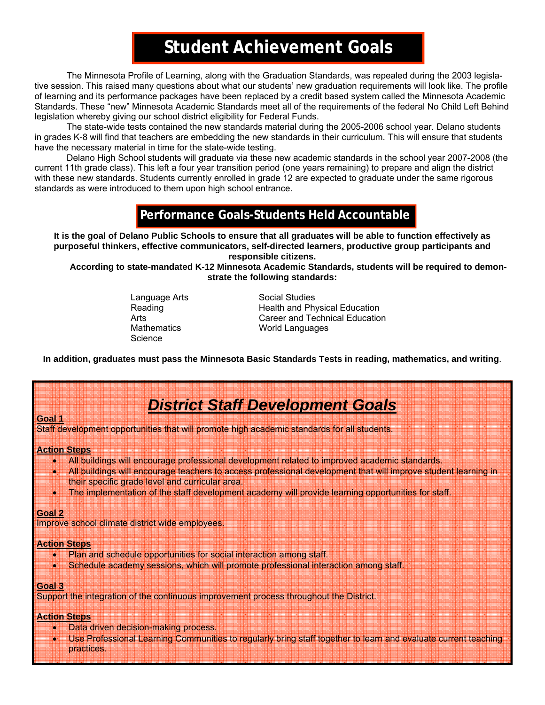## **Student Achievement Goals**

The Minnesota Profile of Learning, along with the Graduation Standards, was repealed during the 2003 legislative session. This raised many questions about what our students' new graduation requirements will look like. The profile of learning and its performance packages have been replaced by a credit based system called the Minnesota Academic Standards. These "new" Minnesota Academic Standards meet all of the requirements of the federal No Child Left Behind legislation whereby giving our school district eligibility for Federal Funds.

 The state-wide tests contained the new standards material during the 2005-2006 school year. Delano students in grades K-8 will find that teachers are embedding the new standards in their curriculum. This will ensure that students have the necessary material in time for the state-wide testing.

 Delano High School students will graduate via these new academic standards in the school year 2007-2008 (the current 11th grade class). This left a four year transition period (one years remaining) to prepare and align the district with these new standards. Students currently enrolled in grade 12 are expected to graduate under the same rigorous standards as were introduced to them upon high school entrance.

## **Performance Goals-Students Held Accountable**

**It is the goal of Delano Public Schools to ensure that all graduates will be able to function effectively as purposeful thinkers, effective communicators, self-directed learners, productive group participants and responsible citizens.** 

**According to state-mandated K-12 Minnesota Academic Standards, students will be required to demonstrate the following standards:** 

**Science** 

Language Arts Social Studies Reading **Reading Reading Reading** Health and Physical Education Arts **Arts Career and Technical Education**<br>Mathematics **Career Artic Control Control** Morld Languages **World Languages** 

**In addition, graduates must pass the Minnesota Basic Standards Tests in reading, mathematics, and writing**.

## *District Staff Development Goals*

Staff development opportunities that will promote high academic standards for all students.

#### **Action Steps**

- All buildings will encourage professional development related to improved academic standards.
- All buildings will encourage teachers to access professional development that will improve student learning in their specific grade level and curricular area.
- The implementation of the staff development academy will provide learning opportunities for staff.

#### **Goal 2**

**Goal 1**

Improve school climate district wide employees.

#### **Action Steps**

- Plan and schedule opportunities for social interaction among staff.
- Schedule academy sessions, which will promote professional interaction among staff.

#### **Goal 3**

Support the integration of the continuous improvement process throughout the District.

#### **Action Steps**

- Data driven decision-making process.
- Use Professional Learning Communities to regularly bring staff together to learn and evaluate current teaching practices.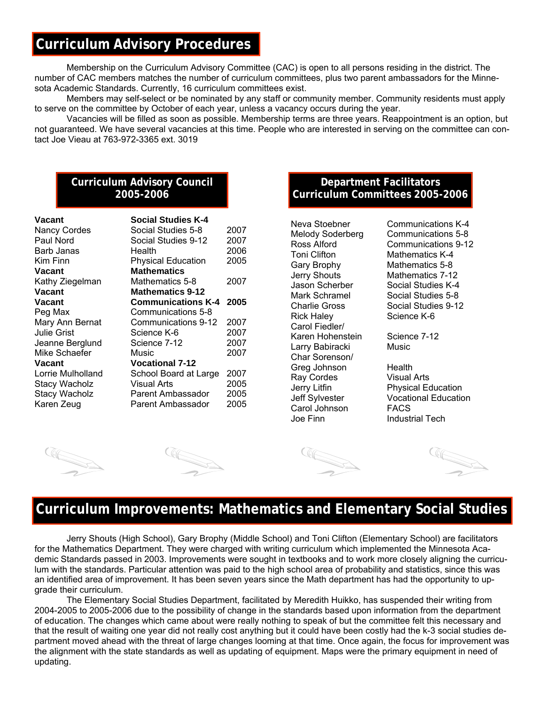## **Curriculum Advisory Procedures**

 Membership on the Curriculum Advisory Committee (CAC) is open to all persons residing in the district. The number of CAC members matches the number of curriculum committees, plus two parent ambassadors for the Minnesota Academic Standards. Currently, 16 curriculum committees exist.

 Members may self-select or be nominated by any staff or community member. Community residents must apply to serve on the committee by October of each year, unless a vacancy occurs during the year.

 Vacancies will be filled as soon as possible. Membership terms are three years. Reappointment is an option, but not guaranteed. We have several vacancies at this time. People who are interested in serving on the committee can contact Joe Vieau at 763-972-3365 ext. 3019

#### **Curriculum Advisory Council 2005-2006**

| Vacant               | <b>Social Studies K-4</b> |      |
|----------------------|---------------------------|------|
| <b>Nancy Cordes</b>  | Social Studies 5-8        | 2007 |
| Paul Nord            | Social Studies 9-12       | 2007 |
| Barb Janas           | Health                    | 2006 |
| Kim Finn             | <b>Physical Education</b> | 2005 |
| Vacant               | <b>Mathematics</b>        |      |
| Kathy Ziegelman      | Mathematics 5-8           | 2007 |
| Vacant               | <b>Mathematics 9-12</b>   |      |
| Vacant               | <b>Communications K-4</b> | 2005 |
| Peg Max              | Communications 5-8        |      |
| Mary Ann Bernat      | Communications 9-12       | 2007 |
| Julie Grist          | Science K-6               | 2007 |
| Jeanne Berglund      | Science 7-12              | 2007 |
| Mike Schaefer        | Music                     | 2007 |
| Vacant               | <b>Vocational 7-12</b>    |      |
| Lorrie Mulholland    | School Board at Large     | 2007 |
| <b>Stacy Wacholz</b> | Visual Arts               | 2005 |
| <b>Stacy Wacholz</b> | Parent Ambassador         | 2005 |
| Karen Zeug           | Parent Ambassador         | 2005 |

#### **Department Facilitators Curriculum Committees 2005-2006**

Gary Brophy Mathematics 5-8 Jerry Shouts Mathematics 7-12 Rick Haley Science K-6 Carol Fiedler/ Karen Hohenstein Science 7-12 Larry Babiracki Music Char Sorenson/ Greg Johnson Health Ray Cordes Visual Arts Carol Johnson FACS Joe Finn Industrial Tech

Neva Stoebner Communications K-4 Melody Soderberg Communications 5-8 Ross Alford Communications 9-12<br>
Toni Clifton Mathematics K-4 Mathematics K-4 Jason Scherber Social Studies K-4 Mark Schramel Social Studies 5-8 Charlie Gross Social Studies 9-12

Jerry Litfin **Physical Education**<br>Jeff Sylvester **Prophysical Education** Vocational Education

## **Curriculum Improvements: Mathematics and Elementary Social Studies**

Jerry Shouts (High School), Gary Brophy (Middle School) and Toni Clifton (Elementary School) are facilitators for the Mathematics Department. They were charged with writing curriculum which implemented the Minnesota Academic Standards passed in 2003. Improvements were sought in textbooks and to work more closely aligning the curriculum with the standards. Particular attention was paid to the high school area of probability and statistics, since this was an identified area of improvement. It has been seven years since the Math department has had the opportunity to upgrade their curriculum.

 The Elementary Social Studies Department, facilitated by Meredith Huikko, has suspended their writing from 2004-2005 to 2005-2006 due to the possibility of change in the standards based upon information from the department of education. The changes which came about were really nothing to speak of but the committee felt this necessary and that the result of waiting one year did not really cost anything but it could have been costly had the k-3 social studies department moved ahead with the threat of large changes looming at that time. Once again, the focus for improvement was the alignment with the state standards as well as updating of equipment. Maps were the primary equipment in need of updating.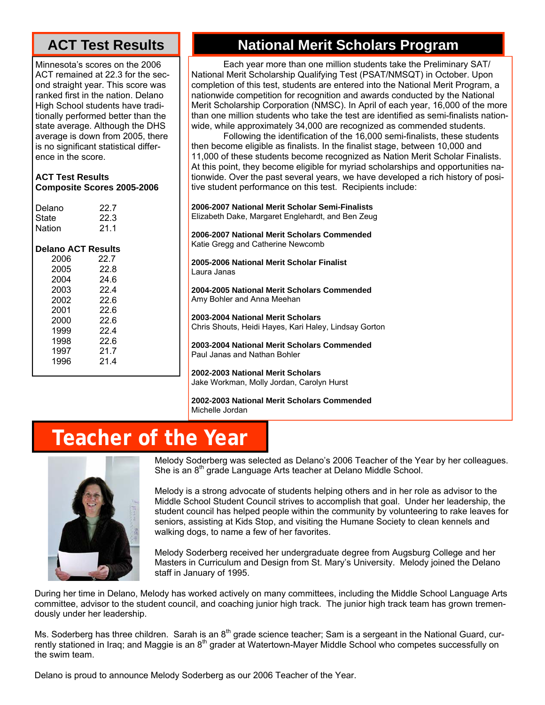## **ACT Test Results**

Minnesota's scores on the 2006 ACT remained at 22.3 for the second straight year. This score was ranked first in the nation. Delano High School students have traditionally performed better than the state average. Although the DHS average is down from 2005, there is no significant statistical difference in the score.

| <b>ACT Test Results</b>           |
|-----------------------------------|
| <b>Composite Scores 2005-2006</b> |

| Delano                    | 22.7 |
|---------------------------|------|
| State                     | 22.3 |
| Nation                    | 21.1 |
| <b>Delano ACT Results</b> |      |
| 2006                      | 22.7 |
| 2005                      | 22.8 |
| 2004                      | 24.6 |
| 2003                      | 22.4 |
| 2002                      | 22.6 |
| 2001                      | 22.6 |
| 2000                      | 22.6 |
| 1999                      | 22.4 |
| 1998                      | 22.6 |
| 1997                      | 21.7 |
| 1996                      | 21 4 |
|                           |      |

## **National Merit Scholars Program**

 Each year more than one million students take the Preliminary SAT/ National Merit Scholarship Qualifying Test (PSAT/NMSQT) in October. Upon completion of this test, students are entered into the National Merit Program, a nationwide competition for recognition and awards conducted by the National Merit Scholarship Corporation (NMSC). In April of each year, 16,000 of the more than one million students who take the test are identified as semi-finalists nationwide, while approximately 34,000 are recognized as commended students.

 Following the identification of the 16,000 semi-finalists, these students then become eligible as finalists. In the finalist stage, between 10,000 and 11,000 of these students become recognized as Nation Merit Scholar Finalists. At this point, they become eligible for myriad scholarships and opportunities nationwide. Over the past several years, we have developed a rich history of positive student performance on this test. Recipients include:

**2006-2007 National Merit Scholar Semi-Finalists**  Elizabeth Dake, Margaret Englehardt, and Ben Zeug

**2006-2007 National Merit Scholars Commended**  Katie Gregg and Catherine Newcomb

**2005-2006 National Merit Scholar Finalist**  Laura Janas

**2004-2005 National Merit Scholars Commended**  Amy Bohler and Anna Meehan

**2003-2004 National Merit Scholars**  Chris Shouts, Heidi Hayes, Kari Haley, Lindsay Gorton

**2003-2004 National Merit Scholars Commended**  Paul Janas and Nathan Bohler

**2002-2003 National Merit Scholars**  Jake Workman, Molly Jordan, Carolyn Hurst

**2002-2003 National Merit Scholars Commended**  Michelle Jordan

# **Teacher of the Year**



Melody Soderberg was selected as Delano's 2006 Teacher of the Year by her colleagues. She is an 8<sup>th</sup> grade Language Arts teacher at Delano Middle School.

Melody is a strong advocate of students helping others and in her role as advisor to the Middle School Student Council strives to accomplish that goal. Under her leadership, the student council has helped people within the community by volunteering to rake leaves for seniors, assisting at Kids Stop, and visiting the Humane Society to clean kennels and walking dogs, to name a few of her favorites.

Melody Soderberg received her undergraduate degree from Augsburg College and her Masters in Curriculum and Design from St. Mary's University. Melody joined the Delano staff in January of 1995.

During her time in Delano, Melody has worked actively on many committees, including the Middle School Language Arts committee, advisor to the student council, and coaching junior high track. The junior high track team has grown tremendously under her leadership.

Ms. Soderberg has three children. Sarah is an  $8^{th}$  grade science teacher; Sam is a sergeant in the National Guard, currently stationed in Iraq; and Maggie is an 8<sup>th</sup> grader at Watertown-Mayer Middle School who competes successfully on the swim team.

Delano is proud to announce Melody Soderberg as our 2006 Teacher of the Year.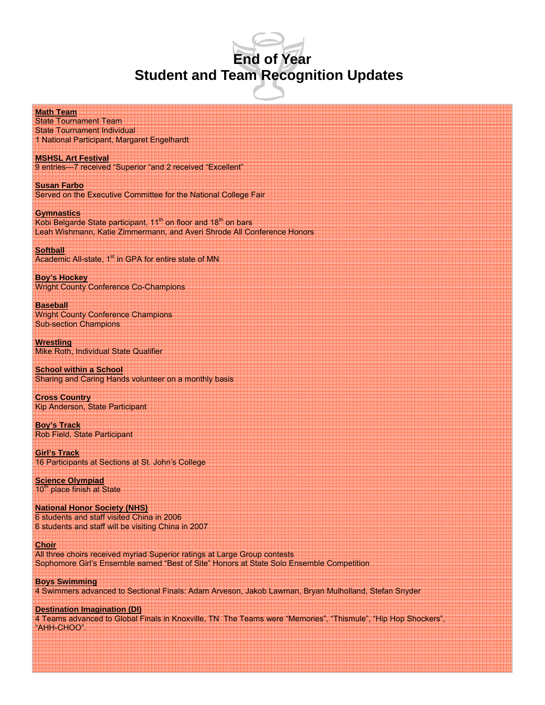## **End of Year Student and Team Recognition Updates**

**Math Team**

State Tournament Team State Tournament Individual 1 National Participant, Margaret Engelhardt

**MSHSL Art Festival** 9 entries—7 received "Superior "and 2 received "Excellent"

**Susan Farbo** Served on the Executive Committee for the National College Fair

**Gymnastics** Kobi Belgarde State participant, 11<sup>th</sup> on floor and 18<sup>th</sup> on bars Leah Wishmann, Katie Zimmermann, and Averi Shrode All Conference Honors

**Softball** Academic All-state, 1<sup>st</sup> in GPA for entire state of MN

**Boy's Hockey** Wright County Conference Co-Champions

**Baseball** Wright County Conference Champions Sub-section Champions

**Wrestling** Mike Roth, Individual State Qualifier

**School within a School** Sharing and Caring Hands volunteer on a monthly basis

**Cross Country** Kip Anderson, State Participant

**Boy's Track** Rob Field, State Participant

**Girl's Track** 16 Participants at Sections at St. John's College

**Science Olympiad** 10<sup>th</sup> place finish at State

**National Honor Society (NHS)** 6 students and staff visited China in 2006 6 students and staff will be visiting China in 2007

**Choir** All three choirs received myriad Superior ratings at Large Group contests Sophomore Girl's Ensemble earned "Best of Site" Honors at State Solo Ensemble Competition

**Boys Swimming** 4 Swimmers advanced to Sectional Finals: Adam Arveson, Jakob Lawman, Bryan Mulholland, Stefan Snyder

**Destination Imagination (DI)** 4 Teams advanced to Global Finals in Knoxville, TN The Teams were "Memories", "Thismule", "Hip Hop Shockers", "AHH-CHOO".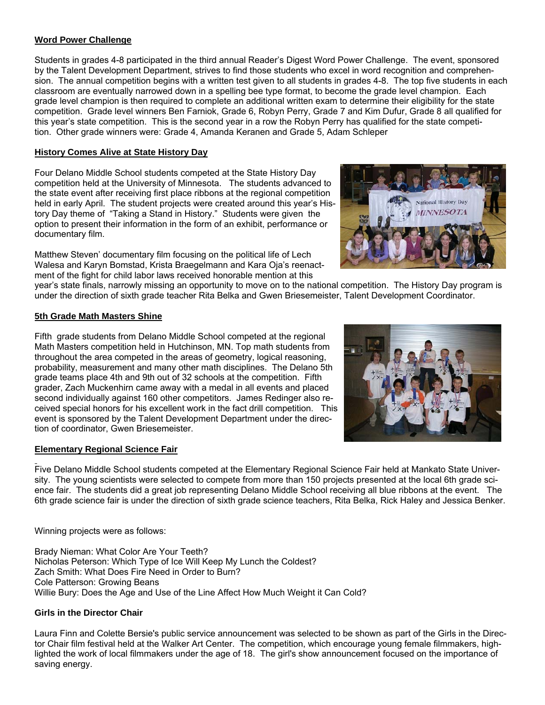#### **Word Power Challenge**

Students in grades 4-8 participated in the third annual Reader's Digest Word Power Challenge. The event, sponsored by the Talent Development Department, strives to find those students who excel in word recognition and comprehension. The annual competition begins with a written test given to all students in grades 4-8. The top five students in each classroom are eventually narrowed down in a spelling bee type format, to become the grade level champion. Each grade level champion is then required to complete an additional written exam to determine their eligibility for the state competition. Grade level winners Ben Farniok, Grade 6, Robyn Perry, Grade 7 and Kim Dufur, Grade 8 all qualified for this year's state competition. This is the second year in a row the Robyn Perry has qualified for the state competition. Other grade winners were: Grade 4, Amanda Keranen and Grade 5, Adam Schleper

#### **History Comes Alive at State History Day**

Four Delano Middle School students competed at the State History Day competition held at the University of Minnesota. The students advanced to the state event after receiving first place ribbons at the regional competition held in early April. The student projects were created around this year's History Day theme of "Taking a Stand in History." Students were given the option to present their information in the form of an exhibit, performance or documentary film.

Matthew Steven' documentary film focusing on the political life of Lech Walesa and Karyn Bomstad, Krista Braegelmann and Kara Oja's reenactment of the fight for child labor laws received honorable mention at this



year's state finals, narrowly missing an opportunity to move on to the national competition. The History Day program is under the direction of sixth grade teacher Rita Belka and Gwen Briesemeister, Talent Development Coordinator.

#### **5th Grade Math Masters Shine**

Fifth grade students from Delano Middle School competed at the regional Math Masters competition held in Hutchinson, MN. Top math students from throughout the area competed in the areas of geometry, logical reasoning, probability, measurement and many other math disciplines. The Delano 5th grade teams place 4th and 9th out of 32 schools at the competition. Fifth grader, Zach Muckenhirn came away with a medal in all events and placed second individually against 160 other competitors. James Redinger also received special honors for his excellent work in the fact drill competition. This event is sponsored by the Talent Development Department under the direction of coordinator, Gwen Briesemeister.

#### **Elementary Regional Science Fair**

Five Delano Middle School students competed at the Elementary Regional Science Fair held at Mankato State University. The young scientists were selected to compete from more than 150 projects presented at the local 6th grade science fair. The students did a great job representing Delano Middle School receiving all blue ribbons at the event. The 6th grade science fair is under the direction of sixth grade science teachers, Rita Belka, Rick Haley and Jessica Benker.

Winning projects were as follows:

Brady Nieman: What Color Are Your Teeth? Nicholas Peterson: Which Type of Ice Will Keep My Lunch the Coldest? Zach Smith: What Does Fire Need in Order to Burn? Cole Patterson: Growing Beans Willie Bury: Does the Age and Use of the Line Affect How Much Weight it Can Cold?

#### **Girls in the Director Chair**

Laura Finn and Colette Bersie's public service announcement was selected to be shown as part of the Girls in the Director Chair film festival held at the Walker Art Center. The competition, which encourage young female filmmakers, highlighted the work of local filmmakers under the age of 18. The girl's show announcement focused on the importance of saving energy.

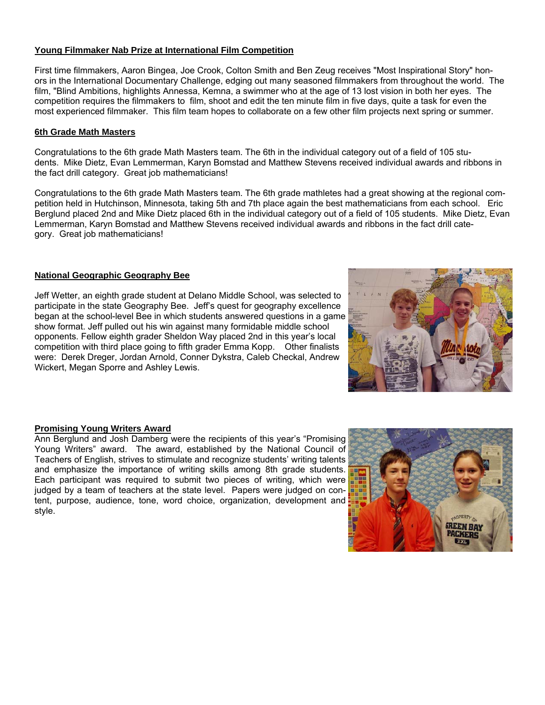#### **Young Filmmaker Nab Prize at International Film Competition**

First time filmmakers, Aaron Bingea, Joe Crook, Colton Smith and Ben Zeug receives "Most Inspirational Story" honors in the International Documentary Challenge, edging out many seasoned filmmakers from throughout the world. The film, "Blind Ambitions, highlights Annessa, Kemna, a swimmer who at the age of 13 lost vision in both her eyes. The competition requires the filmmakers to film, shoot and edit the ten minute film in five days, quite a task for even the most experienced filmmaker. This film team hopes to collaborate on a few other film projects next spring or summer.

#### **6th Grade Math Masters**

Congratulations to the 6th grade Math Masters team. The 6th in the individual category out of a field of 105 students. Mike Dietz, Evan Lemmerman, Karyn Bomstad and Matthew Stevens received individual awards and ribbons in the fact drill category. Great job mathematicians!

Congratulations to the 6th grade Math Masters team. The 6th grade mathletes had a great showing at the regional competition held in Hutchinson, Minnesota, taking 5th and 7th place again the best mathematicians from each school. Eric Berglund placed 2nd and Mike Dietz placed 6th in the individual category out of a field of 105 students. Mike Dietz, Evan Lemmerman, Karyn Bomstad and Matthew Stevens received individual awards and ribbons in the fact drill category. Great job mathematicians!

#### **National Geographic Geography Bee**

Jeff Wetter, an eighth grade student at Delano Middle School, was selected to participate in the state Geography Bee. Jeff's quest for geography excellence began at the school-level Bee in which students answered questions in a game show format. Jeff pulled out his win against many formidable middle school opponents. Fellow eighth grader Sheldon Way placed 2nd in this year's local competition with third place going to fifth grader Emma Kopp. Other finalists were: Derek Dreger, Jordan Arnold, Conner Dykstra, Caleb Checkal, Andrew Wickert, Megan Sporre and Ashley Lewis.



#### **Promising Young Writers Award**

Ann Berglund and Josh Damberg were the recipients of this year's "Promising Young Writers" award. The award, established by the National Council of Teachers of English, strives to stimulate and recognize students' writing talents and emphasize the importance of writing skills among 8th grade students. Each participant was required to submit two pieces of writing, which were judged by a team of teachers at the state level. Papers were judged on content, purpose, audience, tone, word choice, organization, development and style.